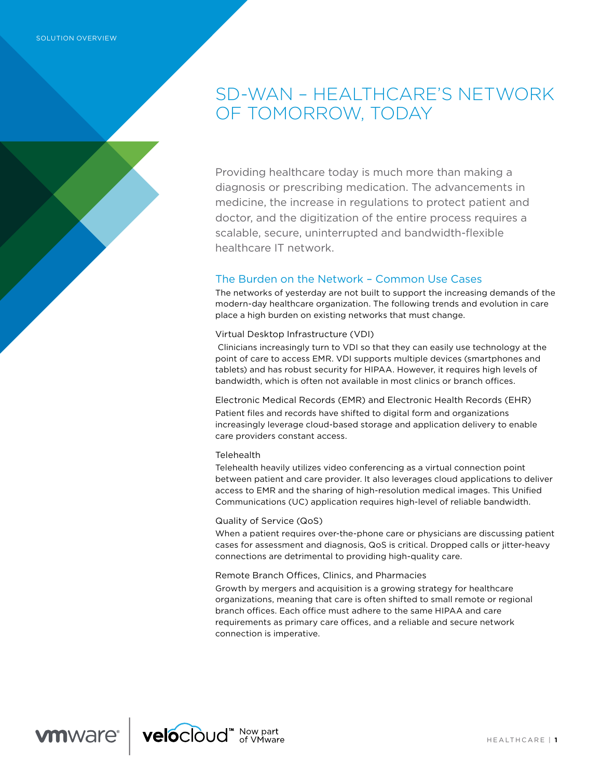# SD-WAN – HEALTHCARE'S NETWORK OF TOMORROW, TODAY

Providing healthcare today is much more than making a diagnosis or prescribing medication. The advancements in medicine, the increase in regulations to protect patient and doctor, and the digitization of the entire process requires a scalable, secure, uninterrupted and bandwidth-flexible healthcare IT network.

## The Burden on the Network – Common Use Cases

The networks of yesterday are not built to support the increasing demands of the modern-day healthcare organization. The following trends and evolution in care place a high burden on existing networks that must change.

### Virtual Desktop Infrastructure (VDI)

 Clinicians increasingly turn to VDI so that they can easily use technology at the point of care to access EMR. VDI supports multiple devices (smartphones and tablets) and has robust security for HIPAA. However, it requires high levels of bandwidth, which is often not available in most clinics or branch offices.

Electronic Medical Records (EMR) and Electronic Health Records (EHR) Patient files and records have shifted to digital form and organizations increasingly leverage cloud-based storage and application delivery to enable care providers constant access.

### **Telehealth**

Telehealth heavily utilizes video conferencing as a virtual connection point between patient and care provider. It also leverages cloud applications to deliver access to EMR and the sharing of high-resolution medical images. This Unified Communications (UC) application requires high-level of reliable bandwidth.

### Quality of Service (QoS)

When a patient requires over-the-phone care or physicians are discussing patient cases for assessment and diagnosis, QoS is critical. Dropped calls or jitter-heavy connections are detrimental to providing high-quality care.

### Remote Branch Offices, Clinics, and Pharmacies

Growth by mergers and acquisition is a growing strategy for healthcare organizations, meaning that care is often shifted to small remote or regional branch offices. Each office must adhere to the same HIPAA and care requirements as primary care offices, and a reliable and secure network connection is imperative.

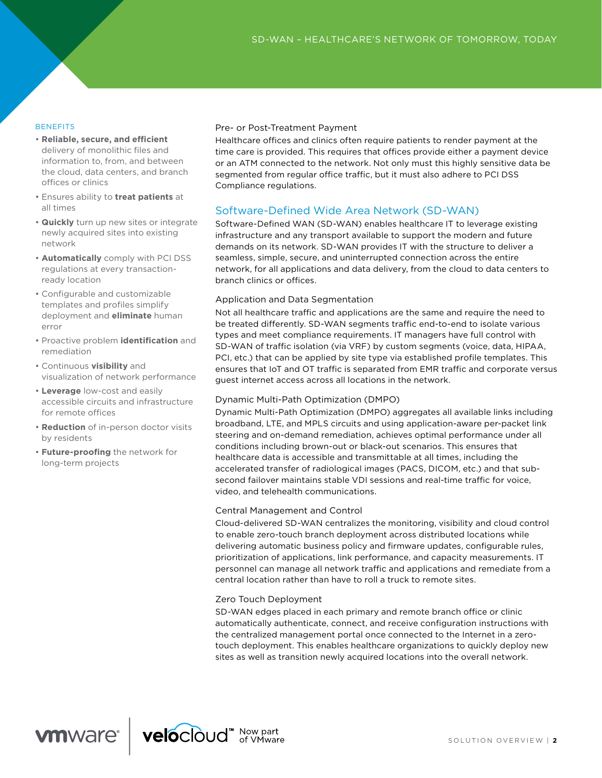#### **BENEFITS**

- **Reliable, secure, and efcient** delivery of monolithic files and information to, from, and between the cloud, data centers, and branch offices or clinics
- Ensures ability to **treat patients** at all times
- **Quickly** turn up new sites or integrate newly acquired sites into existing network
- **Automatically** comply with PCI DSS regulations at every transactionready location
- Configurable and customizable templates and profiles simplify deployment and **eliminate** human error
- Proactive problem **identification** and remediation
- Continuous **visibility** and visualization of network performance
- **Leverage** low-cost and easily accessible circuits and infrastructure for remote offices
- **Reduction** of in-person doctor visits by residents
- **Future-proofing** the network for long-term projects

#### Pre- or Post-Treatment Payment

Healthcare offices and clinics often require patients to render payment at the time care is provided. This requires that offices provide either a payment device or an ATM connected to the network. Not only must this highly sensitive data be segmented from regular office traffic, but it must also adhere to PCI DSS Compliance regulations.

## Software-Defined Wide Area Network (SD-WAN)

Software-Defined WAN (SD-WAN) enables healthcare IT to leverage existing infrastructure and any transport available to support the modern and future demands on its network. SD-WAN provides IT with the structure to deliver a seamless, simple, secure, and uninterrupted connection across the entire network, for all applications and data delivery, from the cloud to data centers to branch clinics or offices.

### Application and Data Segmentation

Not all healthcare traffic and applications are the same and require the need to be treated differently. SD-WAN segments traffic end-to-end to isolate various types and meet compliance requirements. IT managers have full control with SD-WAN of traffic isolation (via VRF) by custom segments (voice, data, HIPAA, PCI, etc.) that can be applied by site type via established profile templates. This ensures that IoT and OT traffic is separated from EMR traffic and corporate versus guest internet access across all locations in the network.

### Dynamic Multi-Path Optimization (DMPO)

Dynamic Multi-Path Optimization (DMPO) aggregates all available links including broadband, LTE, and MPLS circuits and using application-aware per-packet link steering and on-demand remediation, achieves optimal performance under all conditions including brown-out or black-out scenarios. This ensures that healthcare data is accessible and transmittable at all times, including the accelerated transfer of radiological images (PACS, DICOM, etc.) and that subsecond failover maintains stable VDI sessions and real-time traffic for voice, video, and telehealth communications.

#### Central Management and Control

Cloud-delivered SD-WAN centralizes the monitoring, visibility and cloud control to enable zero-touch branch deployment across distributed locations while delivering automatic business policy and firmware updates, configurable rules, prioritization of applications, link performance, and capacity measurements. IT personnel can manage all network traffic and applications and remediate from a central location rather than have to roll a truck to remote sites.

### Zero Touch Deployment

SD-WAN edges placed in each primary and remote branch office or clinic automatically authenticate, connect, and receive configuration instructions with the centralized management portal once connected to the Internet in a zerotouch deployment. This enables healthcare organizations to quickly deploy new sites as well as transition newly acquired locations into the overall network.

**vm**ware<sup>®</sup>